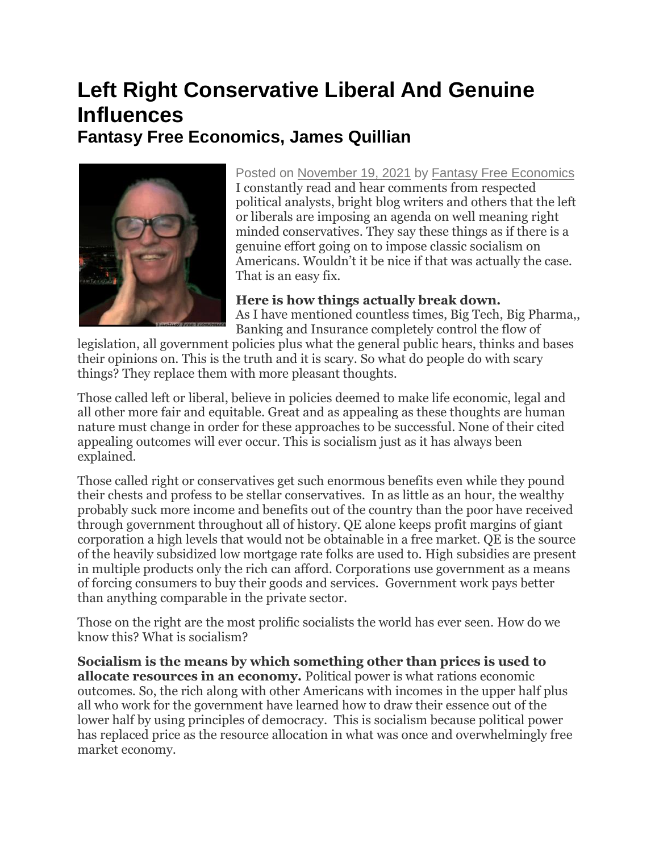## **Left Right Conservative Liberal And Genuine Influences Fantasy Free Economics, James Quillian**



Posted on [November 19, 2021](http://quillian.net/blog/?p=7704) by [Fantasy Free Economics](http://quillian.net/blog/author/james-quillian/) I constantly read and hear comments from respected political analysts, bright blog writers and others that the left or liberals are imposing an agenda on well meaning right minded conservatives. They say these things as if there is a genuine effort going on to impose classic socialism on Americans. Wouldn't it be nice if that was actually the case. That is an easy fix.

**Here is how things actually break down.** As I have mentioned countless times, Big Tech, Big Pharma,, Banking and Insurance completely control the flow of

legislation, all government policies plus what the general public hears, thinks and bases their opinions on. This is the truth and it is scary. So what do people do with scary things? They replace them with more pleasant thoughts.

Those called left or liberal, believe in policies deemed to make life economic, legal and all other more fair and equitable. Great and as appealing as these thoughts are human nature must change in order for these approaches to be successful. None of their cited appealing outcomes will ever occur. This is socialism just as it has always been explained.

Those called right or conservatives get such enormous benefits even while they pound their chests and profess to be stellar conservatives. In as little as an hour, the wealthy probably suck more income and benefits out of the country than the poor have received through government throughout all of history. QE alone keeps profit margins of giant corporation a high levels that would not be obtainable in a free market. QE is the source of the heavily subsidized low mortgage rate folks are used to. High subsidies are present in multiple products only the rich can afford. Corporations use government as a means of forcing consumers to buy their goods and services. Government work pays better than anything comparable in the private sector.

Those on the right are the most prolific socialists the world has ever seen. How do we know this? What is socialism?

**Socialism is the means by which something other than prices is used to allocate resources in an economy.** Political power is what rations economic outcomes. So, the rich along with other Americans with incomes in the upper half plus all who work for the government have learned how to draw their essence out of the lower half by using principles of democracy. This is socialism because political power has replaced price as the resource allocation in what was once and overwhelmingly free market economy.